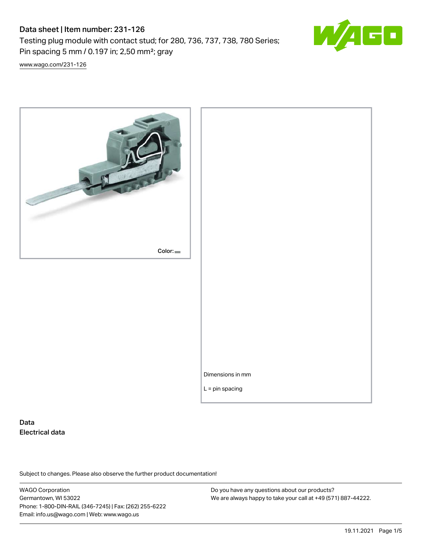# Data sheet | Item number: 231-126

Testing plug module with contact stud; for 280, 736, 737, 738, 780 Series; Pin spacing 5 mm / 0.197 in; 2,50 mm²; gray

[www.wago.com/231-126](http://www.wago.com/231-126)



# Data Electrical data

Subject to changes. Please also observe the further product documentation!

WAGO Corporation Germantown, WI 53022 Phone: 1-800-DIN-RAIL (346-7245) | Fax: (262) 255-6222 Email: info.us@wago.com | Web: www.wago.us

Do you have any questions about our products? We are always happy to take your call at +49 (571) 887-44222.

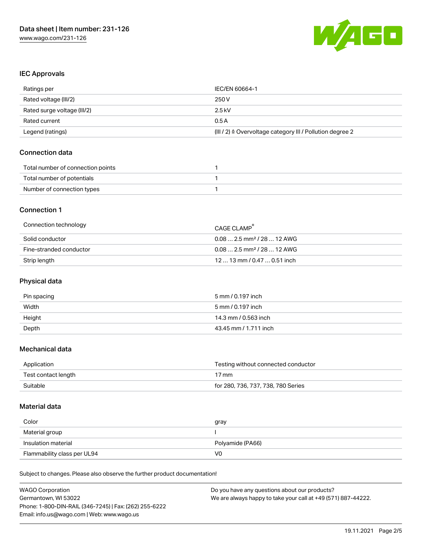

#### IEC Approvals

| Ratings per                 | IEC/EN 60664-1                                                       |
|-----------------------------|----------------------------------------------------------------------|
| Rated voltage (III/2)       | 250 V                                                                |
| Rated surge voltage (III/2) | 2.5 kV                                                               |
| Rated current               | 0.5A                                                                 |
| Legend (ratings)            | (III / 2) $\triangleq$ Overvoltage category III / Pollution degree 2 |

### Connection data

| Total number of connection points |  |
|-----------------------------------|--|
| Total number of potentials        |  |
| Number of connection types        |  |

### Connection 1

| Connection technology   | CAGE CLAMP                              |
|-------------------------|-----------------------------------------|
| Solid conductor         | $0.08$ 2.5 mm <sup>2</sup> / 28  12 AWG |
| Fine-stranded conductor | $0.082.5$ mm <sup>2</sup> / 28  12 AWG  |
| Strip length            | $1213$ mm $/$ 0.47 $$ 0.51 inch         |

# Physical data

| Pin spacing | 5 mm / 0.197 inch     |
|-------------|-----------------------|
| Width       | 5 mm / 0.197 inch     |
| Height      | 14.3 mm / 0.563 inch  |
| Depth       | 43.45 mm / 1.711 inch |

### Mechanical data

| Application         | Testing without connected conductor |
|---------------------|-------------------------------------|
| Test contact length | $17 \,\mathrm{mm}$                  |
| Suitable            | for 280, 736, 737, 738, 780 Series  |

#### Material data

| Color               | gray             |
|---------------------|------------------|
| Material group      |                  |
|                     |                  |
| Insulation material | Polyamide (PA66) |

Subject to changes. Please also observe the further product documentation!

| <b>WAGO Corporation</b>                                | Do you have any questions about our products?                 |  |
|--------------------------------------------------------|---------------------------------------------------------------|--|
| Germantown, WI 53022                                   | We are always happy to take your call at +49 (571) 887-44222. |  |
| Phone: 1-800-DIN-RAIL (346-7245)   Fax: (262) 255-6222 |                                                               |  |
| Email: info.us@wago.com   Web: www.wago.us             |                                                               |  |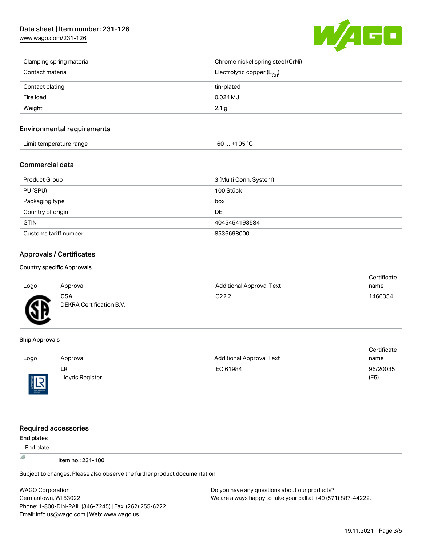# Data sheet | Item number: 231-126

[www.wago.com/231-126](http://www.wago.com/231-126)



| Clamping spring material | Chrome nickel spring steel (CrNi)       |
|--------------------------|-----------------------------------------|
| Contact material         | Electrolytic copper ( $E_{\text{Cu}}$ ) |
| Contact plating          | tin-plated                              |
| Fire load                | $0.024$ MJ                              |
| Weight                   | 2.1 g                                   |

#### Environmental requirements

| Limit temperature range | $-60+105 °C$ |
|-------------------------|--------------|
|-------------------------|--------------|

### Commercial data

| Product Group         | 3 (Multi Conn. System) |
|-----------------------|------------------------|
| PU (SPU)              | 100 Stück              |
| Packaging type        | box                    |
| Country of origin     | DE                     |
| <b>GTIN</b>           | 4045454193584          |
| Customs tariff number | 8536698000             |

# Approvals / Certificates

#### Country specific Approvals

Email: info.us@wago.com | Web: www.wago.us

| Logo      | Approval                               | <b>Additional Approval Text</b> | Certificate<br>name |
|-----------|----------------------------------------|---------------------------------|---------------------|
| <b>GF</b> | <b>CSA</b><br>DEKRA Certification B.V. | C <sub>22.2</sub>               | 1466354             |

#### Ship Approvals

THE APPROVAL

|      |                 |                          | Certificate |
|------|-----------------|--------------------------|-------------|
| Logo | Approval        | Additional Approval Text | name        |
|      | LR              | IEC 61984                | 96/20035    |
| 旧    | Lloyds Register |                          | (E5)        |
|      |                 |                          |             |

| <b>Required accessories</b>                                                |                                                               |  |  |  |  |
|----------------------------------------------------------------------------|---------------------------------------------------------------|--|--|--|--|
| End plates                                                                 |                                                               |  |  |  |  |
| End plate                                                                  |                                                               |  |  |  |  |
| 遐<br>Item no.: 231-100                                                     |                                                               |  |  |  |  |
| Subject to changes. Please also observe the further product documentation! |                                                               |  |  |  |  |
| <b>WAGO Corporation</b>                                                    | Do you have any questions about our products?                 |  |  |  |  |
| Germantown, WI 53022                                                       | We are always happy to take your call at +49 (571) 887-44222. |  |  |  |  |
| Phone: 1-800-DIN-RAIL (346-7245)   Fax: (262) 255-6222                     |                                                               |  |  |  |  |

certificate in the contraction of the contraction of the contraction of the contraction of the contraction of <br>Contraction of the contraction of the contraction of the contraction of the contraction of the contraction of <br>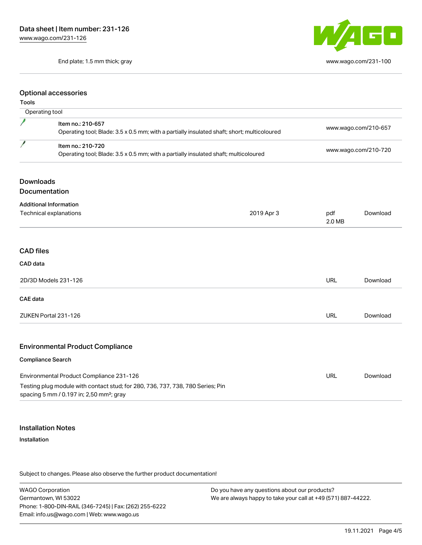End plate; 1.5 mm thick; gray [www.wago.com/231-100](http://www.wago.com/231-100)



#### Optional accessories

### Tools

|                  | Operating tool                                                                                                                         |                                                                                      |                      |                      |  |
|------------------|----------------------------------------------------------------------------------------------------------------------------------------|--------------------------------------------------------------------------------------|----------------------|----------------------|--|
|                  | Item no.: 210-657<br>Operating tool; Blade: 3.5 x 0.5 mm; with a partially insulated shaft; short; multicoloured                       |                                                                                      | www.wago.com/210-657 |                      |  |
| 1                | Item no.: 210-720                                                                                                                      | Operating tool; Blade: 3.5 x 0.5 mm; with a partially insulated shaft; multicoloured |                      | www.wago.com/210-720 |  |
| <b>Downloads</b> |                                                                                                                                        |                                                                                      |                      |                      |  |
|                  | Documentation                                                                                                                          |                                                                                      |                      |                      |  |
|                  | <b>Additional Information</b>                                                                                                          |                                                                                      |                      |                      |  |
|                  | Technical explanations                                                                                                                 | 2019 Apr 3                                                                           | pdf<br>2.0 MB        | Download             |  |
| <b>CAD files</b> |                                                                                                                                        |                                                                                      |                      |                      |  |
| CAD data         |                                                                                                                                        |                                                                                      |                      |                      |  |
|                  | 2D/3D Models 231-126                                                                                                                   |                                                                                      | <b>URL</b>           | Download             |  |
| <b>CAE</b> data  |                                                                                                                                        |                                                                                      |                      |                      |  |
|                  | ZUKEN Portal 231-126                                                                                                                   |                                                                                      | <b>URL</b>           | Download             |  |
|                  | <b>Environmental Product Compliance</b>                                                                                                |                                                                                      |                      |                      |  |
|                  | <b>Compliance Search</b>                                                                                                               |                                                                                      |                      |                      |  |
|                  | Environmental Product Compliance 231-126                                                                                               |                                                                                      | <b>URL</b>           | Download             |  |
|                  | Testing plug module with contact stud; for 280, 736, 737, 738, 780 Series; Pin<br>spacing 5 mm / 0.197 in; 2,50 mm <sup>2</sup> ; gray |                                                                                      |                      |                      |  |

### Installation Notes

#### Installation

Subject to changes. Please also observe the further product documentation!

WAGO Corporation Germantown, WI 53022 Phone: 1-800-DIN-RAIL (346-7245) | Fax: (262) 255-6222 Email: info.us@wago.com | Web: www.wago.us

Do you have any questions about our products? We are always happy to take your call at +49 (571) 887-44222.